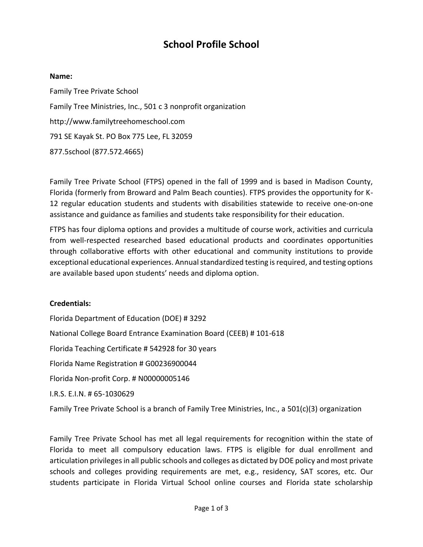# **School Profile School**

#### **Name:**

Family Tree Private School Family Tree Ministries, Inc., 501 c 3 nonprofit organization http://www.familytreehomeschool.com 791 SE Kayak St. PO Box 775 Lee, FL 32059 877.5school (877.572.4665)

Family Tree Private School (FTPS) opened in the fall of 1999 and is based in Madison County, Florida (formerly from Broward and Palm Beach counties). FTPS provides the opportunity for K-12 regular education students and students with disabilities statewide to receive one-on-one assistance and guidance as families and students take responsibility for their education.

FTPS has four diploma options and provides a multitude of course work, activities and curricula from well-respected researched based educational products and coordinates opportunities through collaborative efforts with other educational and community institutions to provide exceptional educational experiences. Annual standardized testing is required, and testing options are available based upon students' needs and diploma option.

#### **Credentials:**

Florida Department of Education (DOE) # 3292 National College Board Entrance Examination Board (CEEB) # 101-618 Florida Teaching Certificate # 542928 for 30 years Florida Name Registration # G00236900044 Florida Non-profit Corp. # N00000005146 I.R.S. E.I.N. # 65-1030629 Family Tree Private School is a branch of Family Tree Ministries, Inc., a 501(c)(3) organization

Family Tree Private School has met all legal requirements for recognition within the state of Florida to meet all compulsory education laws. FTPS is eligible for dual enrollment and articulation privileges in all public schools and colleges as dictated by DOE policy and most private schools and colleges providing requirements are met, e.g., residency, SAT scores, etc. Our students participate in Florida Virtual School online courses and Florida state scholarship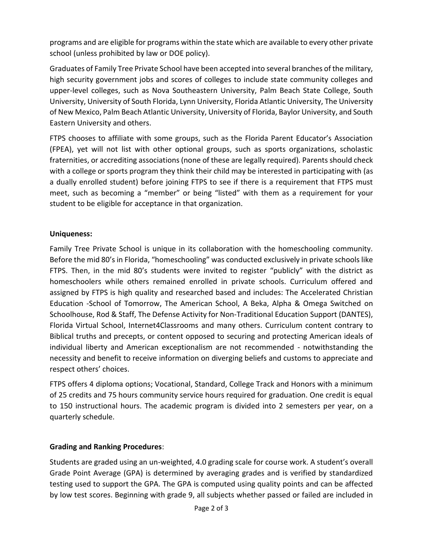programs and are eligible for programs within the state which are available to every other private school (unless prohibited by law or DOE policy).

Graduates of Family Tree Private School have been accepted into several branches of the military, high security government jobs and scores of colleges to include state community colleges and upper-level colleges, such as Nova Southeastern University, Palm Beach State College, South University, University of South Florida, Lynn University, Florida Atlantic University, The University of New Mexico, Palm Beach Atlantic University, University of Florida, Baylor University, and South Eastern University and others.

FTPS chooses to affiliate with some groups, such as the Florida Parent Educator's Association (FPEA), yet will not list with other optional groups, such as sports organizations, scholastic fraternities, or accrediting associations (none of these are legally required). Parents should check with a college or sports program they think their child may be interested in participating with (as a dually enrolled student) before joining FTPS to see if there is a requirement that FTPS must meet, such as becoming a "member" or being "listed" with them as a requirement for your student to be eligible for acceptance in that organization.

### **Uniqueness:**

Family Tree Private School is unique in its collaboration with the homeschooling community. Before the mid 80's in Florida, "homeschooling" was conducted exclusively in private schools like FTPS. Then, in the mid 80's students were invited to register "publicly" with the district as homeschoolers while others remained enrolled in private schools. Curriculum offered and assigned by FTPS is high quality and researched based and includes: The Accelerated Christian Education -School of Tomorrow, The American School, A Beka, Alpha & Omega Switched on Schoolhouse, Rod & Staff, The Defense Activity for Non-Traditional Education Support (DANTES), Florida Virtual School, Internet4Classrooms and many others. Curriculum content contrary to Biblical truths and precepts, or content opposed to securing and protecting American ideals of individual liberty and American exceptionalism are not recommended - notwithstanding the necessity and benefit to receive information on diverging beliefs and customs to appreciate and respect others' choices.

FTPS offers 4 diploma options; Vocational, Standard, College Track and Honors with a minimum of 25 credits and 75 hours community service hours required for graduation. One credit is equal to 150 instructional hours. The academic program is divided into 2 semesters per year, on a quarterly schedule.

# **Grading and Ranking Procedures**:

Students are graded using an un-weighted, 4.0 grading scale for course work. A student's overall Grade Point Average (GPA) is determined by averaging grades and is verified by standardized testing used to support the GPA. The GPA is computed using quality points and can be affected by low test scores. Beginning with grade 9, all subjects whether passed or failed are included in